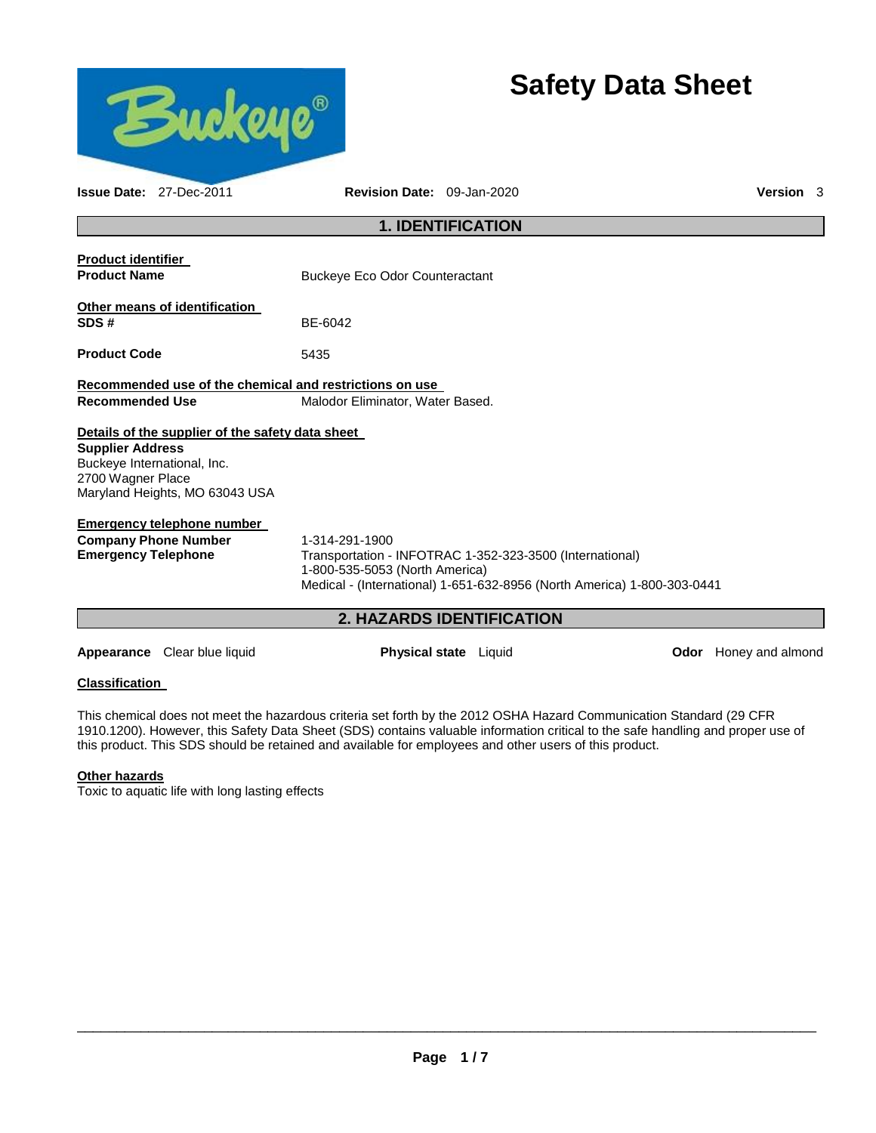

# **Safety Data Sheet**

|                                                  | <b>Issue Date: 27-Dec-2011</b>                                                                                    | Revision Date: 09-Jan-2020                                                                  |                                                                                                                                     | Version 3 |  |
|--------------------------------------------------|-------------------------------------------------------------------------------------------------------------------|---------------------------------------------------------------------------------------------|-------------------------------------------------------------------------------------------------------------------------------------|-----------|--|
|                                                  |                                                                                                                   |                                                                                             | <b>1. IDENTIFICATION</b>                                                                                                            |           |  |
| <b>Product identifier</b><br><b>Product Name</b> |                                                                                                                   | Buckeye Eco Odor Counteractant                                                              |                                                                                                                                     |           |  |
| SDS#                                             | Other means of identification                                                                                     | BE-6042                                                                                     |                                                                                                                                     |           |  |
| <b>Product Code</b>                              |                                                                                                                   | 5435                                                                                        |                                                                                                                                     |           |  |
| <b>Recommended Use</b>                           |                                                                                                                   | Recommended use of the chemical and restrictions on use<br>Malodor Eliminator, Water Based. |                                                                                                                                     |           |  |
| <b>Supplier Address</b><br>2700 Wagner Place     | Details of the supplier of the safety data sheet<br>Buckeye International, Inc.<br>Maryland Heights, MO 63043 USA |                                                                                             |                                                                                                                                     |           |  |
| <b>Emergency Telephone</b>                       | <b>Emergency telephone number</b><br><b>Company Phone Number</b>                                                  | 1-314-291-1900<br>1-800-535-5053 (North America)                                            | Transportation - INFOTRAC 1-352-323-3500 (International)<br>Medical - (International) 1-651-632-8956 (North America) 1-800-303-0441 |           |  |
|                                                  |                                                                                                                   | $\mathbf{p}$                                                                                | <b>HAZARDS IDENTIFICATION</b>                                                                                                       |           |  |

# **2. HAZARDS IDENTIFICATION**

**Appearance** Clear blue liquid **Physical state** Liquid **Odor** Honey and almond

# **Classification**

This chemical does not meet the hazardous criteria set forth by the 2012 OSHA Hazard Communication Standard (29 CFR 1910.1200). However, this Safety Data Sheet (SDS) contains valuable information critical to the safe handling and proper use of this product. This SDS should be retained and available for employees and other users of this product.

# **Other hazards**

Toxic to aquatic life with long lasting effects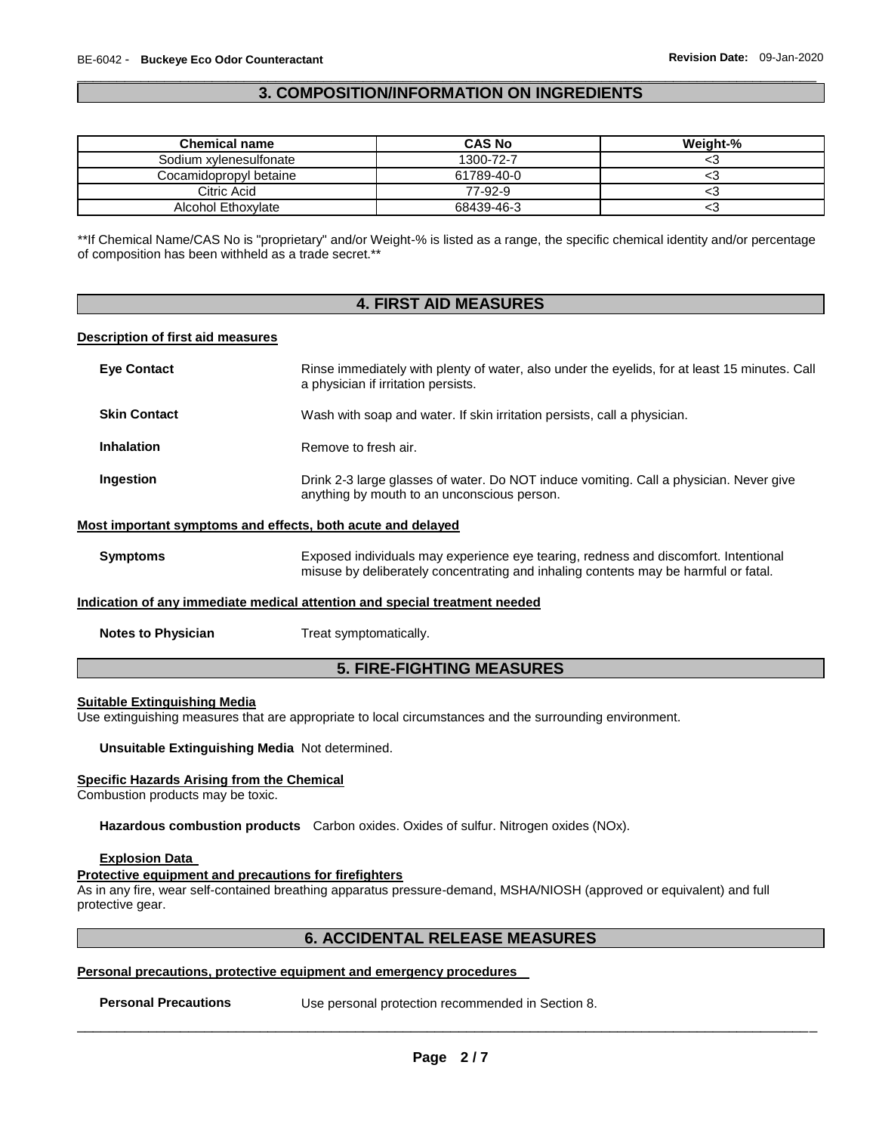# \_\_\_\_\_\_\_\_\_\_\_\_\_\_\_\_\_\_\_\_\_\_\_\_\_\_\_\_\_\_\_\_\_\_\_\_\_\_\_\_\_\_\_\_\_\_\_\_\_\_\_\_\_\_\_\_\_\_\_\_\_\_\_\_\_\_\_\_\_\_\_\_\_\_\_\_\_\_\_\_\_\_\_\_\_\_\_\_\_\_\_\_\_ **3. COMPOSITION/INFORMATION ON INGREDIENTS**

| <b>Chemical name</b>   | <b>CAS No</b> | Weight-% |
|------------------------|---------------|----------|
| Sodium xylenesulfonate | 1300-72-7     |          |
| Cocamidopropyl betaine | 61789-40-0    | ◡        |
| Citric Acid            | 77-92-9       |          |
| Alcohol Ethoxylate     | 68439-46-3    |          |

\*\*If Chemical Name/CAS No is "proprietary" and/or Weight-% is listed as a range, the specific chemical identity and/or percentage of composition has been withheld as a trade secret.\*\*

# **4. FIRST AID MEASURES**

# **Description of first aid measures**

| <b>Eve Contact</b>  | Rinse immediately with plenty of water, also under the eyelids, for at least 15 minutes. Call<br>a physician if irritation persists.  |
|---------------------|---------------------------------------------------------------------------------------------------------------------------------------|
| <b>Skin Contact</b> | Wash with soap and water. If skin irritation persists, call a physician.                                                              |
| Inhalation          | Remove to fresh air.                                                                                                                  |
| Ingestion           | Drink 2-3 large glasses of water. Do NOT induce vomiting. Call a physician. Never give<br>anything by mouth to an unconscious person. |
|                     | Most important symptoms and effects, both acute and delayed                                                                           |

**Symptoms** Exposed individuals may experience eye tearing, redness and discomfort. Intentional misuse by deliberately concentrating and inhaling contents may be harmful or fatal.

### **Indication of any immediate medical attention and special treatment needed**

**Notes to Physician**  Treat symptomatically.

# **5. FIRE-FIGHTING MEASURES**

# **Suitable Extinguishing Media**

Use extinguishing measures that are appropriate to local circumstances and the surrounding environment.

# **Unsuitable Extinguishing Media** Not determined.

### **Specific Hazards Arising from the Chemical**

Combustion products may be toxic.

**Hazardous combustion products** Carbon oxides. Oxides of sulfur. Nitrogen oxides (NOx).

# **Explosion Data**

# **Protective equipment and precautions for firefighters**

As in any fire, wear self-contained breathing apparatus pressure-demand, MSHA/NIOSH (approved or equivalent) and full protective gear.

# **6. ACCIDENTAL RELEASE MEASURES**

# **Personal precautions, protective equipment and emergency procedures**

\_\_\_\_\_\_\_\_\_\_\_\_\_\_\_\_\_\_\_\_\_\_\_\_\_\_\_\_\_\_\_\_\_\_\_\_\_\_\_\_\_\_\_\_\_\_\_\_\_\_\_\_\_\_\_\_\_\_\_\_\_\_\_\_\_\_\_\_\_\_\_\_\_\_\_\_\_\_\_\_\_\_\_\_\_\_\_\_\_\_\_\_\_ **Personal Precautions** Use personal protection recommended in Section 8.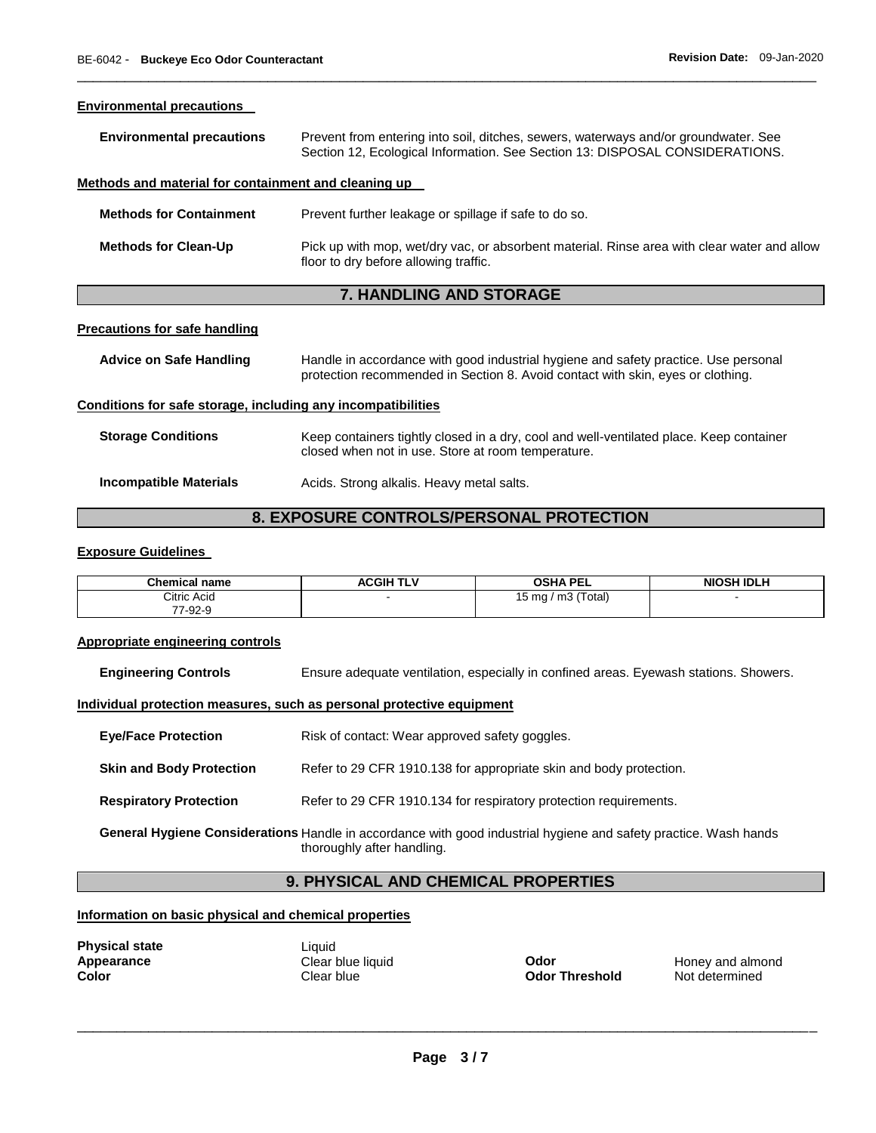| <b>Environmental precautions</b>                     |                                                                                                                                                                     |
|------------------------------------------------------|---------------------------------------------------------------------------------------------------------------------------------------------------------------------|
| <b>Environmental precautions</b>                     | Prevent from entering into soil, ditches, sewers, waterways and/or groundwater. See<br>Section 12, Ecological Information. See Section 13: DISPOSAL CONSIDERATIONS. |
| Methods and material for containment and cleaning up |                                                                                                                                                                     |
| <b>Methods for Containment</b>                       | Prevent further leakage or spillage if safe to do so.                                                                                                               |
| <b>Methods for Clean-Up</b>                          | Pick up with mop, wet/dry vac, or absorbent material. Rinse area with clear water and allow<br>floor to dry before allowing traffic.                                |
|                                                      | <b>7. HANDLING AND STORAGE</b>                                                                                                                                      |
|                                                      |                                                                                                                                                                     |

\_\_\_\_\_\_\_\_\_\_\_\_\_\_\_\_\_\_\_\_\_\_\_\_\_\_\_\_\_\_\_\_\_\_\_\_\_\_\_\_\_\_\_\_\_\_\_\_\_\_\_\_\_\_\_\_\_\_\_\_\_\_\_\_\_\_\_\_\_\_\_\_\_\_\_\_\_\_\_\_\_\_\_\_\_\_\_\_\_\_\_\_\_

# **Precautions for safe handling**

| Advice on Safe Handling | Handle in accordance with good industrial hygiene and safety practice. Use personal<br>protection recommended in Section 8. Avoid contact with skin, eyes or clothing. |
|-------------------------|------------------------------------------------------------------------------------------------------------------------------------------------------------------------|
|                         |                                                                                                                                                                        |

# **Conditions for safe storage, including any incompatibilities**

| <b>Storage Conditions</b> | Keep containers tightly closed in a dry, cool and well-ventilated place. Keep container<br>closed when not in use. Store at room temperature. |
|---------------------------|-----------------------------------------------------------------------------------------------------------------------------------------------|
| Incompatible Materials    | Acids. Strong alkalis. Heavy metal salts.                                                                                                     |

# **8. EXPOSURE CONTROLS/PERSONAL PROTECTION**

# **Exposure Guidelines**

| <b>Chemical name</b> | <b>ACGIH TLV</b> | <b>OSHA PEL</b>       | <b>NIOSH IDLH</b> |
|----------------------|------------------|-----------------------|-------------------|
| Citric Acid          |                  | 15 mg / m $3$ (Total) |                   |
| 77-92-9              |                  |                       |                   |

#### **Appropriate engineering controls**

**Engineering Controls** Ensure adequate ventilation, especially in confined areas. Eyewash stations. Showers.

# **Individual protection measures, such as personal protective equipment**

**Eye/Face Protection Risk of contact: Wear approved safety goggles.** 

**Skin and Body Protection Refer to 29 CFR 1910.138 for appropriate skin and body protection.** 

**Respiratory Protection Refer to 29 CFR 1910.134 for respiratory protection requirements.** 

**General Hygiene Considerations** Handle in accordance with good industrial hygiene and safety practice. Wash hands thoroughly after handling.

# **9. PHYSICAL AND CHEMICAL PROPERTIES**

# **Information on basic physical and chemical properties**

**Physical state**<br> **Appearance Clear blue liquid**<br> **Clear blue liquid** 

**Appearance Clear blue liquid Clear blue liquid Color Color Honey and almond Color Clear blue Clear blue Clear blue Clear blue Clear blue Color Color Color Color Color Color Color Color Co Not determined**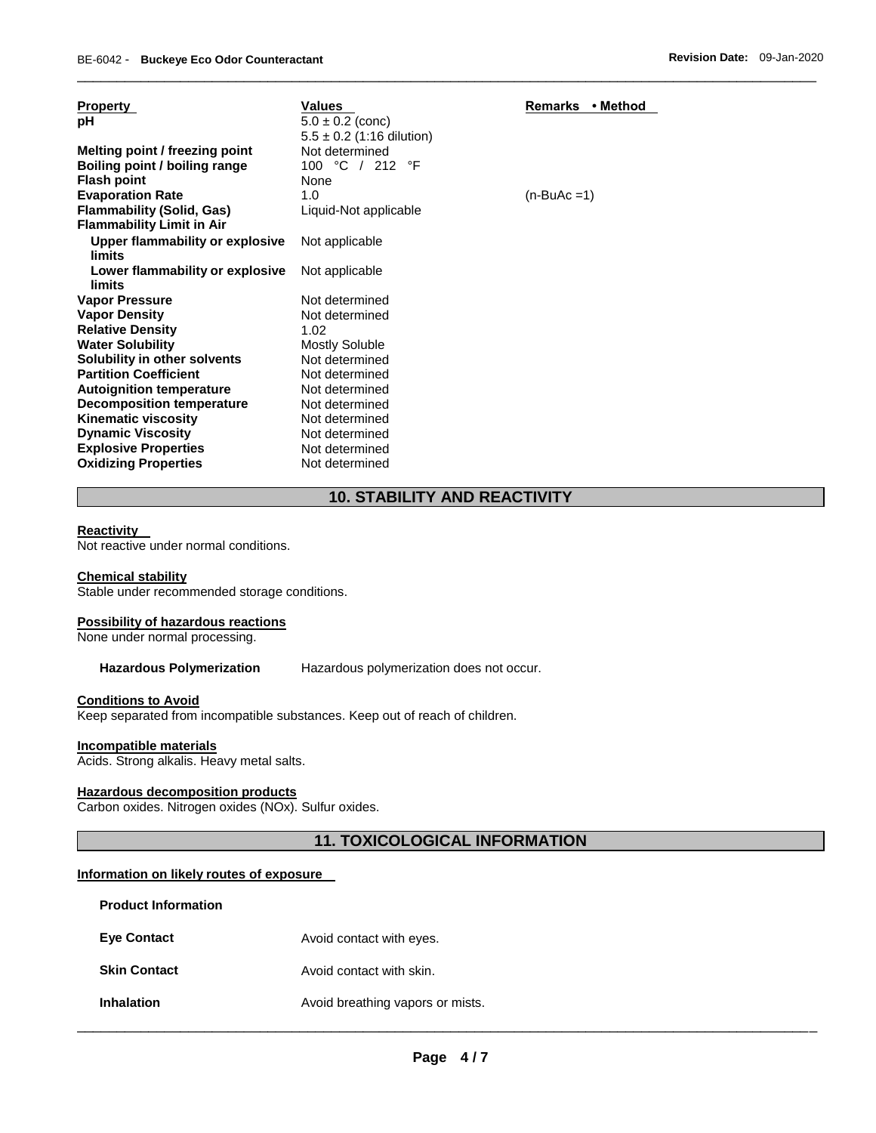| <b>Property</b>                  | <b>Values</b>                 | Remarks • Method |
|----------------------------------|-------------------------------|------------------|
| рH                               | $5.0 \pm 0.2$ (conc)          |                  |
|                                  | $5.5 \pm 0.2$ (1:16 dilution) |                  |
| Melting point / freezing point   | Not determined                |                  |
| Boiling point / boiling range    | 100 °C / 212 °F               |                  |
| <b>Flash point</b>               | None                          |                  |
| <b>Evaporation Rate</b>          | 1.0                           | $(n-BuAc=1)$     |
| <b>Flammability (Solid, Gas)</b> | Liquid-Not applicable         |                  |
| <b>Flammability Limit in Air</b> |                               |                  |
| Upper flammability or explosive  | Not applicable                |                  |
| limits                           |                               |                  |
| Lower flammability or explosive  | Not applicable                |                  |
| limits                           |                               |                  |
| Vapor Pressure                   | Not determined                |                  |
| <b>Vapor Density</b>             | Not determined                |                  |
| <b>Relative Density</b>          | 1.02                          |                  |
| <b>Water Solubility</b>          | <b>Mostly Soluble</b>         |                  |
| Solubility in other solvents     | Not determined                |                  |
| <b>Partition Coefficient</b>     | Not determined                |                  |
| <b>Autoignition temperature</b>  | Not determined                |                  |
| <b>Decomposition temperature</b> | Not determined                |                  |
| <b>Kinematic viscosity</b>       | Not determined                |                  |
| <b>Dynamic Viscosity</b>         | Not determined                |                  |
| <b>Explosive Properties</b>      | Not determined                |                  |
| <b>Oxidizing Properties</b>      | Not determined                |                  |

# **10. STABILITY AND REACTIVITY**

\_\_\_\_\_\_\_\_\_\_\_\_\_\_\_\_\_\_\_\_\_\_\_\_\_\_\_\_\_\_\_\_\_\_\_\_\_\_\_\_\_\_\_\_\_\_\_\_\_\_\_\_\_\_\_\_\_\_\_\_\_\_\_\_\_\_\_\_\_\_\_\_\_\_\_\_\_\_\_\_\_\_\_\_\_\_\_\_\_\_\_\_\_

### **Reactivity**

Not reactive under normal conditions.

#### **Chemical stability**

Stable under recommended storage conditions.

### **Possibility of hazardous reactions**

None under normal processing.

# **Hazardous Polymerization** Hazardous polymerization does not occur.

# **Conditions to Avoid**

Keep separated from incompatible substances. Keep out of reach of children.

# **Incompatible materials**

Acids. Strong alkalis. Heavy metal salts.

# **Hazardous decomposition products**

Carbon oxides. Nitrogen oxides (NOx). Sulfur oxides.

# **11. TOXICOLOGICAL INFORMATION**

# **Information on likely routes of exposure**

| <b>Product Information</b> |                                  |
|----------------------------|----------------------------------|
| <b>Eye Contact</b>         | Avoid contact with eyes.         |
| <b>Skin Contact</b>        | Avoid contact with skin.         |
| <b>Inhalation</b>          | Avoid breathing vapors or mists. |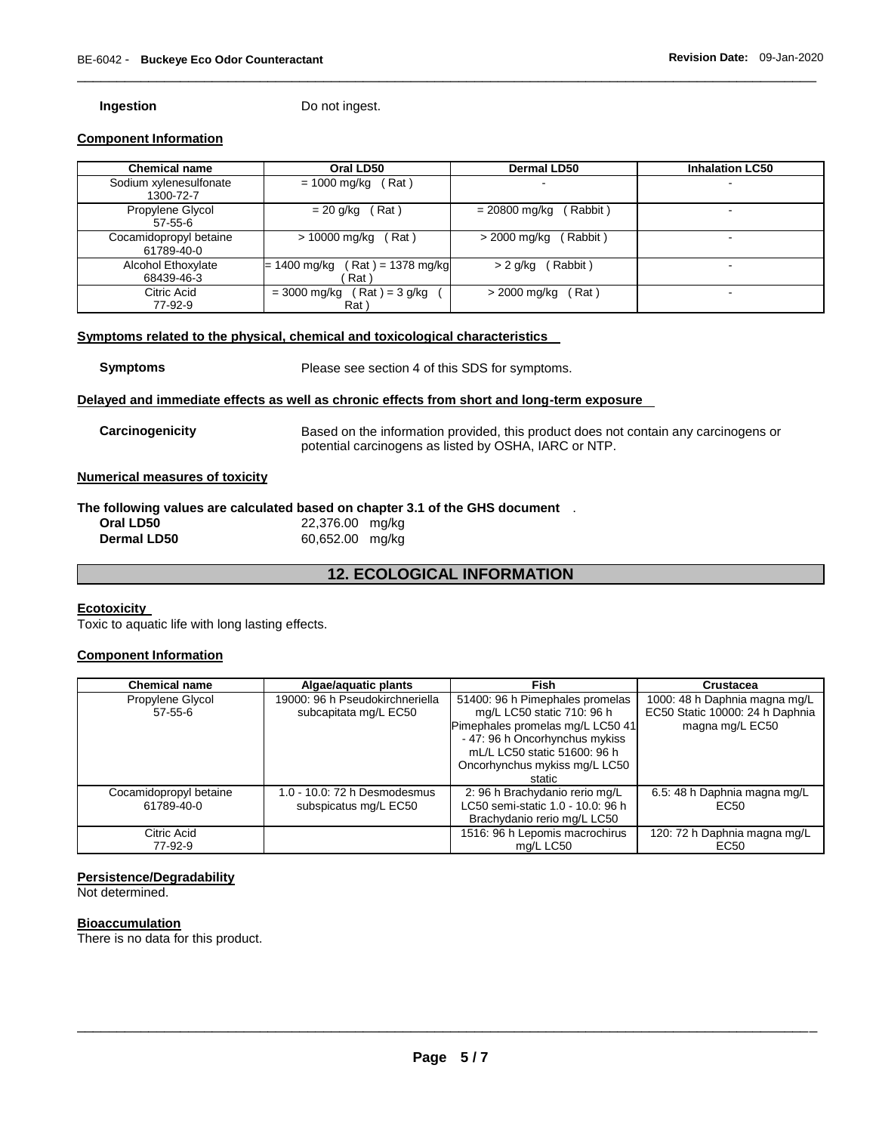**Ingestion Do not ingest.** 

# **Component Information**

| <b>Chemical name</b>   | Oral LD50                            | <b>Dermal LD50</b>        | <b>Inhalation LC50</b> |
|------------------------|--------------------------------------|---------------------------|------------------------|
| Sodium xylenesulfonate | (Rat)<br>= 1000 mg/kg                | -                         | $\blacksquare$         |
| 1300-72-7              |                                      |                           |                        |
| Propylene Glycol       | $= 20$ g/kg (Rat)                    | (Rabbit)<br>= 20800 mg/kg | -                      |
| $57 - 55 - 6$          |                                      |                           |                        |
| Cocamidopropyl betaine | > 10000 mg/kg<br>(Rat)               | > 2000 mg/kg<br>(Rabbit)  |                        |
| 61789-40-0             |                                      |                           |                        |
| Alcohol Ethoxylate     | $(Rat) = 1378 mg/kg$<br>= 1400 mg/kg | Rabbit)<br>$> 2$ g/kg     | -                      |
| 68439-46-3             | Rat                                  |                           |                        |
| Citric Acid            | $Rat$ = 3 g/kg<br>= 3000 mg/kg       | Rat )<br>> 2000 mg/kg     |                        |
| 77-92-9                | Rat \                                |                           |                        |

\_\_\_\_\_\_\_\_\_\_\_\_\_\_\_\_\_\_\_\_\_\_\_\_\_\_\_\_\_\_\_\_\_\_\_\_\_\_\_\_\_\_\_\_\_\_\_\_\_\_\_\_\_\_\_\_\_\_\_\_\_\_\_\_\_\_\_\_\_\_\_\_\_\_\_\_\_\_\_\_\_\_\_\_\_\_\_\_\_\_\_\_\_

# **Symptoms related to the physical, chemical and toxicological characteristics**

| <b>Symptoms</b> |
|-----------------|
|-----------------|

**Symptoms Example 3** Please see section 4 of this SDS for symptoms.

# **Delayed and immediate effects as well as chronic effects from short and long-term exposure**

| Carcinogenicity | Based on the information provided, this product does not contain any carcinogens or |
|-----------------|-------------------------------------------------------------------------------------|
|                 | potential carcinogens as listed by OSHA, IARC or NTP.                               |

# **Numerical measures of toxicity**

# **The following values are calculated based on chapter 3.1 of the GHS document** .

| Oral LD50          | 22,376.00 mg/kg |
|--------------------|-----------------|
| <b>Dermal LD50</b> | 60,652.00 mg/kg |

# **12. ECOLOGICAL INFORMATION**

#### **Ecotoxicity**

Toxic to aquatic life with long lasting effects.

# **Component Information**

| <b>Chemical name</b>   | Algae/aquatic plants            | Fish                              | Crustacea                       |
|------------------------|---------------------------------|-----------------------------------|---------------------------------|
| Propylene Glycol       | 19000: 96 h Pseudokirchneriella | 51400: 96 h Pimephales promelas   | 1000: 48 h Daphnia magna mg/L   |
| $57 - 55 - 6$          | subcapitata mg/L EC50           | mg/L LC50 static 710: 96 h        | EC50 Static 10000: 24 h Daphnia |
|                        |                                 | Pimephales promelas mg/L LC50 41  | magna mg/L EC50                 |
|                        |                                 | - 47: 96 h Oncorhynchus mykiss    |                                 |
|                        |                                 | mL/L LC50 static 51600: 96 h      |                                 |
|                        |                                 | Oncorhynchus mykiss mg/L LC50     |                                 |
|                        |                                 | static                            |                                 |
| Cocamidopropyl betaine | 1.0 - 10.0: 72 h Desmodesmus    | 2: 96 h Brachydanio rerio mg/L    | 6.5: 48 h Daphnia magna mg/L    |
| 61789-40-0             | subspicatus mg/L EC50           | LC50 semi-static 1.0 - 10.0: 96 h | EC <sub>50</sub>                |
|                        |                                 | Brachydanio rerio mg/L LC50       |                                 |
| Citric Acid            |                                 | 1516: 96 h Lepomis macrochirus    | 120: 72 h Daphnia magna mg/L    |
| 77-92-9                |                                 | mg/L LC50                         | EC50                            |

# **Persistence/Degradability**

Not determined.

# **Bioaccumulation**

There is no data for this product.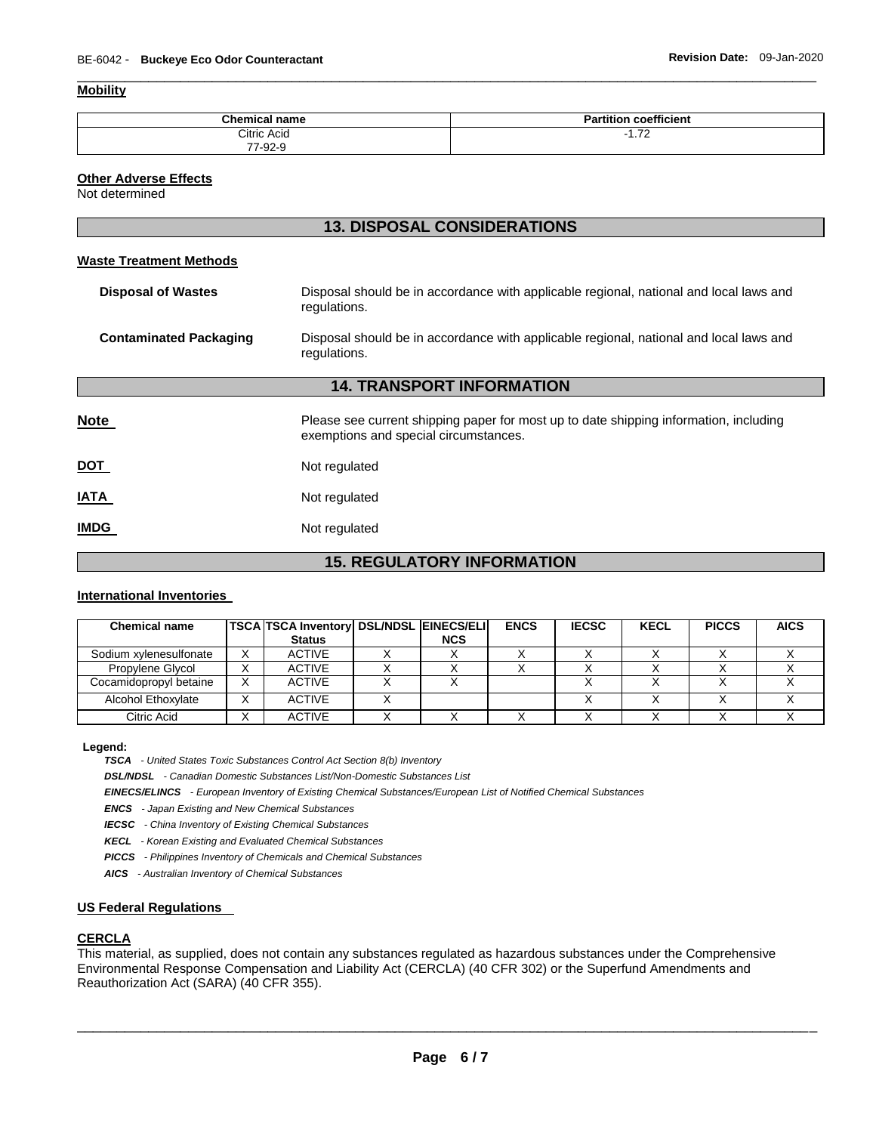# **Mobility**

| <b>Chemical name</b>          | <br>----<br>coefficient<br>п.<br>----<br>ан |
|-------------------------------|---------------------------------------------|
| Citric Acid                   | $\overline{z}$<br>$\sim$<br>. <i>. .</i> .  |
| 77<br>7-92-9<br>$\sim$ $\sim$ |                                             |

\_\_\_\_\_\_\_\_\_\_\_\_\_\_\_\_\_\_\_\_\_\_\_\_\_\_\_\_\_\_\_\_\_\_\_\_\_\_\_\_\_\_\_\_\_\_\_\_\_\_\_\_\_\_\_\_\_\_\_\_\_\_\_\_\_\_\_\_\_\_\_\_\_\_\_\_\_\_\_\_\_\_\_\_\_\_\_\_\_\_\_\_\_

### **Other Adverse Effects**

Not determined

# **13. DISPOSAL CONSIDERATIONS**

# **Waste Treatment Methods**

| <b>Disposal of Wastes</b>        | Disposal should be in accordance with applicable regional, national and local laws and<br>regulations.                         |  |  |  |  |
|----------------------------------|--------------------------------------------------------------------------------------------------------------------------------|--|--|--|--|
| <b>Contaminated Packaging</b>    | Disposal should be in accordance with applicable regional, national and local laws and<br>regulations.                         |  |  |  |  |
| <b>14. TRANSPORT INFORMATION</b> |                                                                                                                                |  |  |  |  |
| <b>Note</b>                      | Please see current shipping paper for most up to date shipping information, including<br>exemptions and special circumstances. |  |  |  |  |
| <b>DOT</b>                       | Not regulated                                                                                                                  |  |  |  |  |
| <b>ATAI</b>                      | Not regulated                                                                                                                  |  |  |  |  |
| <b>IMDG</b>                      | Not regulated                                                                                                                  |  |  |  |  |

# **15. REGULATORY INFORMATION**

# **International Inventories**

| <b>Chemical name</b>   |                | <b>TSCA TSCA Inventory DSL/NDSL EINECS/ELI</b><br><b>Status</b> | <b>NCS</b> | <b>ENCS</b> | <b>IECSC</b> | <b>KECL</b> | <b>PICCS</b> | <b>AICS</b> |
|------------------------|----------------|-----------------------------------------------------------------|------------|-------------|--------------|-------------|--------------|-------------|
| Sodium xvlenesulfonate | $\checkmark$   | <b>ACTIVE</b>                                                   |            |             |              |             |              |             |
| Propylene Glycol       |                | <b>ACTIVE</b>                                                   |            |             |              |             |              |             |
| Cocamidopropyl betaine | $\checkmark$   | <b>ACTIVE</b>                                                   |            |             |              |             |              |             |
| Alcohol Ethoxylate     | $\lambda$      | <b>ACTIVE</b>                                                   |            |             |              |             |              |             |
| Citric Acid            | $\lambda$<br>⌒ | <b>ACTIVE</b>                                                   |            |             |              |             |              |             |

#### **Legend:**

*TSCA - United States Toxic Substances Control Act Section 8(b) Inventory* 

*DSL/NDSL - Canadian Domestic Substances List/Non-Domestic Substances List* 

*EINECS/ELINCS - European Inventory of Existing Chemical Substances/European List of Notified Chemical Substances* 

*ENCS - Japan Existing and New Chemical Substances* 

*IECSC - China Inventory of Existing Chemical Substances* 

*KECL - Korean Existing and Evaluated Chemical Substances* 

*PICCS - Philippines Inventory of Chemicals and Chemical Substances* 

*AICS - Australian Inventory of Chemical Substances* 

#### **US Federal Regulations**

### **CERCLA**

This material, as supplied, does not contain any substances regulated as hazardous substances under the Comprehensive Environmental Response Compensation and Liability Act (CERCLA) (40 CFR 302) or the Superfund Amendments and Reauthorization Act (SARA) (40 CFR 355).